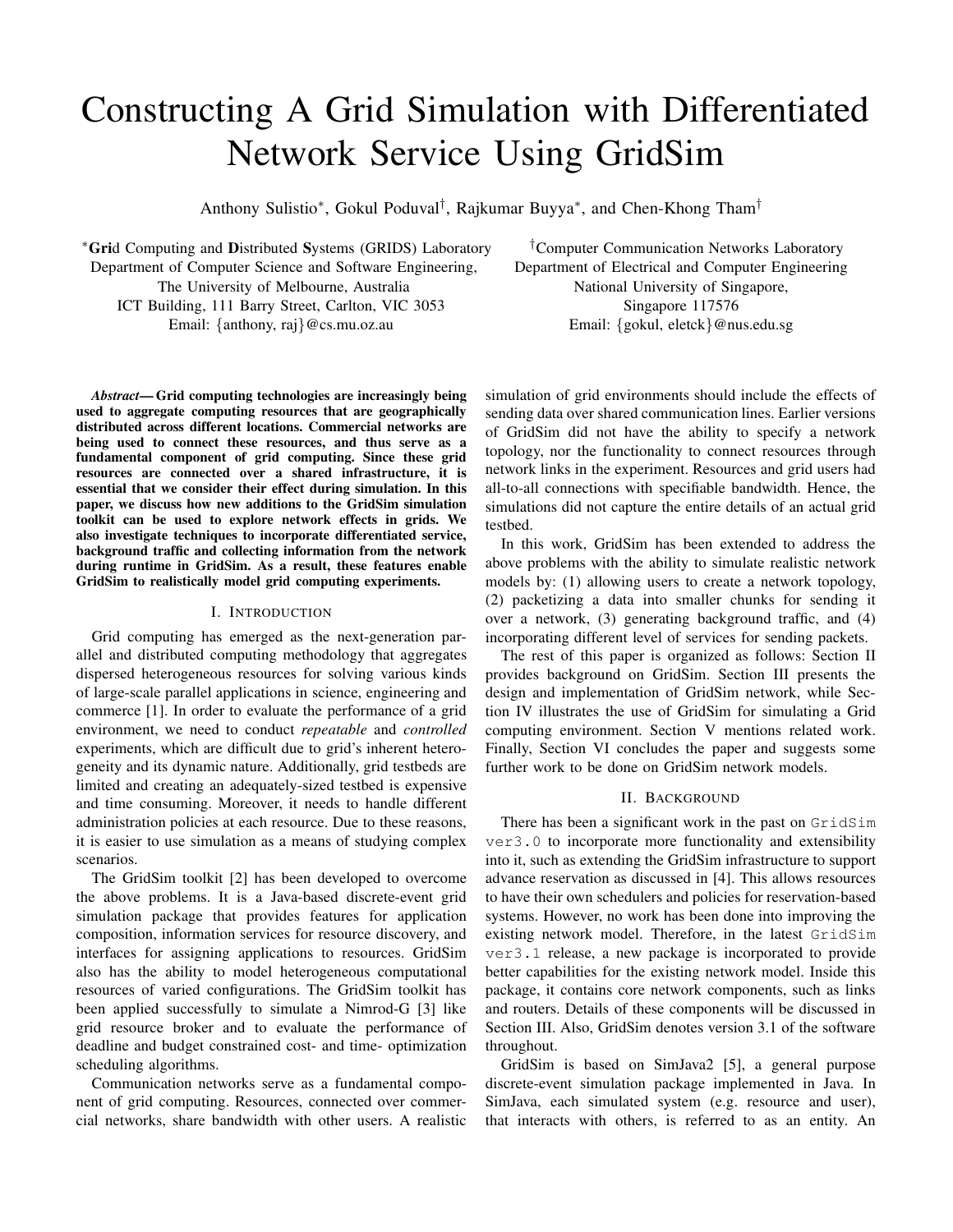# Constructing A Grid Simulation with Differentiated Network Service Using GridSim

Anthony Sulistio<sup>\*</sup>, Gokul Poduval<sup>†</sup>, Rajkumar Buyya<sup>\*</sup>, and Chen-Khong Tham<sup>†</sup>

<sup>∗</sup>**Gri**d Computing and **D**istributed **S**ystems (GRIDS) Laboratory Department of Computer Science and Software Engineering, The University of Melbourne, Australia ICT Building, 111 Barry Street, Carlton, VIC 3053 Email: {anthony, raj}@cs.mu.oz.au

*Abstract***— Grid computing technologies are increasingly being used to aggregate computing resources that are geographically distributed across different locations. Commercial networks are being used to connect these resources, and thus serve as a fundamental component of grid computing. Since these grid resources are connected over a shared infrastructure, it is essential that we consider their effect during simulation. In this paper, we discuss how new additions to the GridSim simulation toolkit can be used to explore network effects in grids. We also investigate techniques to incorporate differentiated service, background traffic and collecting information from the network during runtime in GridSim. As a result, these features enable GridSim to realistically model grid computing experiments.**

#### I. INTRODUCTION

Grid computing has emerged as the next-generation parallel and distributed computing methodology that aggregates dispersed heterogeneous resources for solving various kinds of large-scale parallel applications in science, engineering and commerce [1]. In order to evaluate the performance of a grid environment, we need to conduct *repeatable* and *controlled* experiments, which are difficult due to grid's inherent heterogeneity and its dynamic nature. Additionally, grid testbeds are limited and creating an adequately-sized testbed is expensive and time consuming. Moreover, it needs to handle different administration policies at each resource. Due to these reasons, it is easier to use simulation as a means of studying complex scenarios.

The GridSim toolkit [2] has been developed to overcome the above problems. It is a Java-based discrete-event grid simulation package that provides features for application composition, information services for resource discovery, and interfaces for assigning applications to resources. GridSim also has the ability to model heterogeneous computational resources of varied configurations. The GridSim toolkit has been applied successfully to simulate a Nimrod-G [3] like grid resource broker and to evaluate the performance of deadline and budget constrained cost- and time- optimization scheduling algorithms.

Communication networks serve as a fundamental component of grid computing. Resources, connected over commercial networks, share bandwidth with other users. A realistic

†Computer Communication Networks Laboratory Department of Electrical and Computer Engineering National University of Singapore, Singapore 117576 Email: {gokul, eletck}@nus.edu.sg

simulation of grid environments should include the effects of sending data over shared communication lines. Earlier versions of GridSim did not have the ability to specify a network topology, nor the functionality to connect resources through network links in the experiment. Resources and grid users had all-to-all connections with specifiable bandwidth. Hence, the simulations did not capture the entire details of an actual grid testbed.

In this work, GridSim has been extended to address the above problems with the ability to simulate realistic network models by: (1) allowing users to create a network topology, (2) packetizing a data into smaller chunks for sending it over a network, (3) generating background traffic, and (4) incorporating different level of services for sending packets.

The rest of this paper is organized as follows: Section II provides background on GridSim. Section III presents the design and implementation of GridSim network, while Section IV illustrates the use of GridSim for simulating a Grid computing environment. Section V mentions related work. Finally, Section VI concludes the paper and suggests some further work to be done on GridSim network models.

## II. BACKGROUND

There has been a significant work in the past on GridSim ver3.0 to incorporate more functionality and extensibility into it, such as extending the GridSim infrastructure to support advance reservation as discussed in [4]. This allows resources to have their own schedulers and policies for reservation-based systems. However, no work has been done into improving the existing network model. Therefore, in the latest GridSim ver3.1 release, a new package is incorporated to provide better capabilities for the existing network model. Inside this package, it contains core network components, such as links and routers. Details of these components will be discussed in Section III. Also, GridSim denotes version 3.1 of the software throughout.

GridSim is based on SimJava2 [5], a general purpose discrete-event simulation package implemented in Java. In SimJava, each simulated system (e.g. resource and user), that interacts with others, is referred to as an entity. An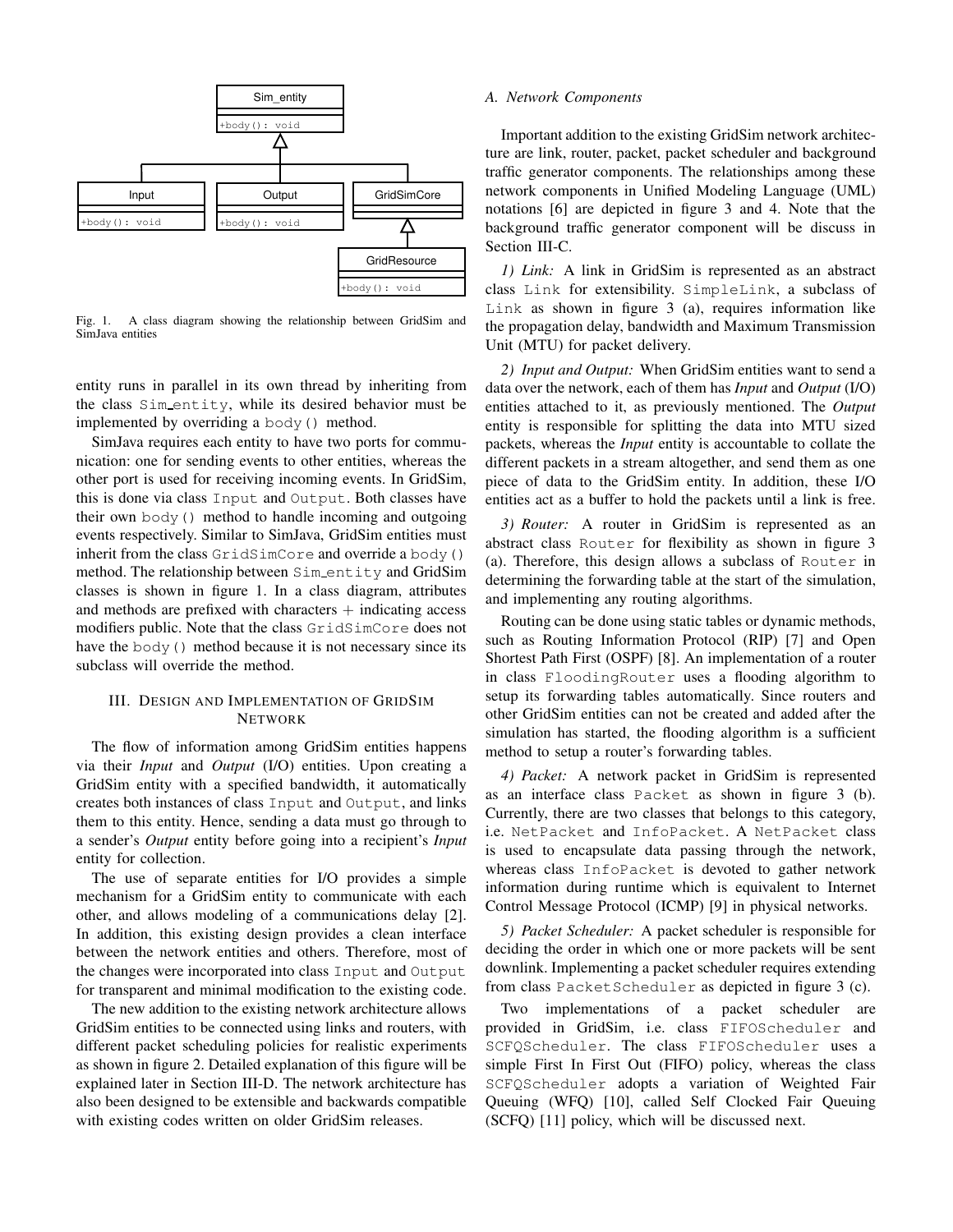

Fig. 1. A class diagram showing the relationship between GridSim and SimJava entities

entity runs in parallel in its own thread by inheriting from the class Sim entity, while its desired behavior must be implemented by overriding a body() method.

SimJava requires each entity to have two ports for communication: one for sending events to other entities, whereas the other port is used for receiving incoming events. In GridSim, this is done via class Input and Output. Both classes have their own body() method to handle incoming and outgoing events respectively. Similar to SimJava, GridSim entities must inherit from the class GridSimCore and override a body() method. The relationship between Sim entity and GridSim classes is shown in figure 1. In a class diagram, attributes and methods are prefixed with characters  $+$  indicating access modifiers public. Note that the class GridSimCore does not have the body () method because it is not necessary since its subclass will override the method.

# III. DESIGN AND IMPLEMENTATION OF GRIDSIM NETWORK

The flow of information among GridSim entities happens via their *Input* and *Output* (I/O) entities. Upon creating a GridSim entity with a specified bandwidth, it automatically creates both instances of class Input and Output, and links them to this entity. Hence, sending a data must go through to a sender's *Output* entity before going into a recipient's *Input* entity for collection.

The use of separate entities for I/O provides a simple mechanism for a GridSim entity to communicate with each other, and allows modeling of a communications delay [2]. In addition, this existing design provides a clean interface between the network entities and others. Therefore, most of the changes were incorporated into class Input and Output for transparent and minimal modification to the existing code.

The new addition to the existing network architecture allows GridSim entities to be connected using links and routers, with different packet scheduling policies for realistic experiments as shown in figure 2. Detailed explanation of this figure will be explained later in Section III-D. The network architecture has also been designed to be extensible and backwards compatible with existing codes written on older GridSim releases.

#### *A. Network Components*

Important addition to the existing GridSim network architecture are link, router, packet, packet scheduler and background traffic generator components. The relationships among these network components in Unified Modeling Language (UML) notations [6] are depicted in figure 3 and 4. Note that the background traffic generator component will be discuss in Section III-C.

*1) Link:* A link in GridSim is represented as an abstract class Link for extensibility. SimpleLink, a subclass of Link as shown in figure  $3$  (a), requires information like the propagation delay, bandwidth and Maximum Transmission Unit (MTU) for packet delivery.

*2) Input and Output:* When GridSim entities want to send a data over the network, each of them has *Input* and *Output* (I/O) entities attached to it, as previously mentioned. The *Output* entity is responsible for splitting the data into MTU sized packets, whereas the *Input* entity is accountable to collate the different packets in a stream altogether, and send them as one piece of data to the GridSim entity. In addition, these I/O entities act as a buffer to hold the packets until a link is free.

*3) Router:* A router in GridSim is represented as an abstract class Router for flexibility as shown in figure 3 (a). Therefore, this design allows a subclass of Router in determining the forwarding table at the start of the simulation, and implementing any routing algorithms.

Routing can be done using static tables or dynamic methods, such as Routing Information Protocol (RIP) [7] and Open Shortest Path First (OSPF) [8]. An implementation of a router in class FloodingRouter uses a flooding algorithm to setup its forwarding tables automatically. Since routers and other GridSim entities can not be created and added after the simulation has started, the flooding algorithm is a sufficient method to setup a router's forwarding tables.

*4) Packet:* A network packet in GridSim is represented as an interface class Packet as shown in figure 3 (b). Currently, there are two classes that belongs to this category, i.e. NetPacket and InfoPacket. A NetPacket class is used to encapsulate data passing through the network, whereas class InfoPacket is devoted to gather network information during runtime which is equivalent to Internet Control Message Protocol (ICMP) [9] in physical networks.

*5) Packet Scheduler:* A packet scheduler is responsible for deciding the order in which one or more packets will be sent downlink. Implementing a packet scheduler requires extending from class PacketScheduler as depicted in figure 3 (c).

Two implementations of a packet scheduler are provided in GridSim, i.e. class FIFOScheduler and SCFQScheduler. The class FIFOScheduler uses a simple First In First Out (FIFO) policy, whereas the class SCFQScheduler adopts a variation of Weighted Fair Queuing (WFQ) [10], called Self Clocked Fair Queuing (SCFQ) [11] policy, which will be discussed next.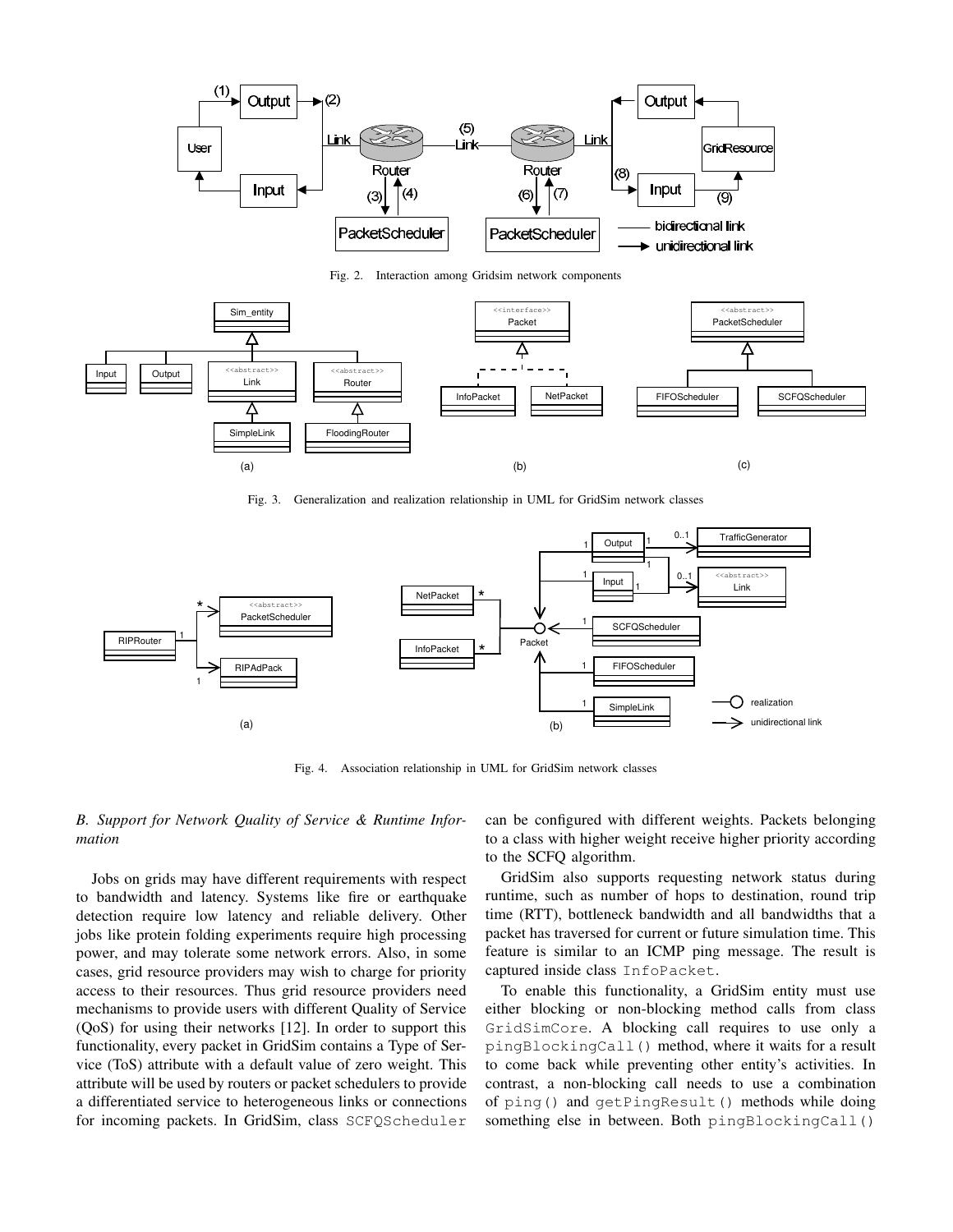

Fig. 2. Interaction among Gridsim network components



Fig. 3. Generalization and realization relationship in UML for GridSim network classes



Fig. 4. Association relationship in UML for GridSim network classes

# *B. Support for Network Quality of Service & Runtime Information*

Jobs on grids may have different requirements with respect to bandwidth and latency. Systems like fire or earthquake detection require low latency and reliable delivery. Other jobs like protein folding experiments require high processing power, and may tolerate some network errors. Also, in some cases, grid resource providers may wish to charge for priority access to their resources. Thus grid resource providers need mechanisms to provide users with different Quality of Service (QoS) for using their networks [12]. In order to support this functionality, every packet in GridSim contains a Type of Service (ToS) attribute with a default value of zero weight. This attribute will be used by routers or packet schedulers to provide a differentiated service to heterogeneous links or connections for incoming packets. In GridSim, class SCFQScheduler

can be configured with different weights. Packets belonging to a class with higher weight receive higher priority according to the SCFQ algorithm.

GridSim also supports requesting network status during runtime, such as number of hops to destination, round trip time (RTT), bottleneck bandwidth and all bandwidths that a packet has traversed for current or future simulation time. This feature is similar to an ICMP ping message. The result is captured inside class InfoPacket.

To enable this functionality, a GridSim entity must use either blocking or non-blocking method calls from class GridSimCore. A blocking call requires to use only a pingBlockingCall() method, where it waits for a result to come back while preventing other entity's activities. In contrast, a non-blocking call needs to use a combination of ping() and getPingResult() methods while doing something else in between. Both pingBlockingCall()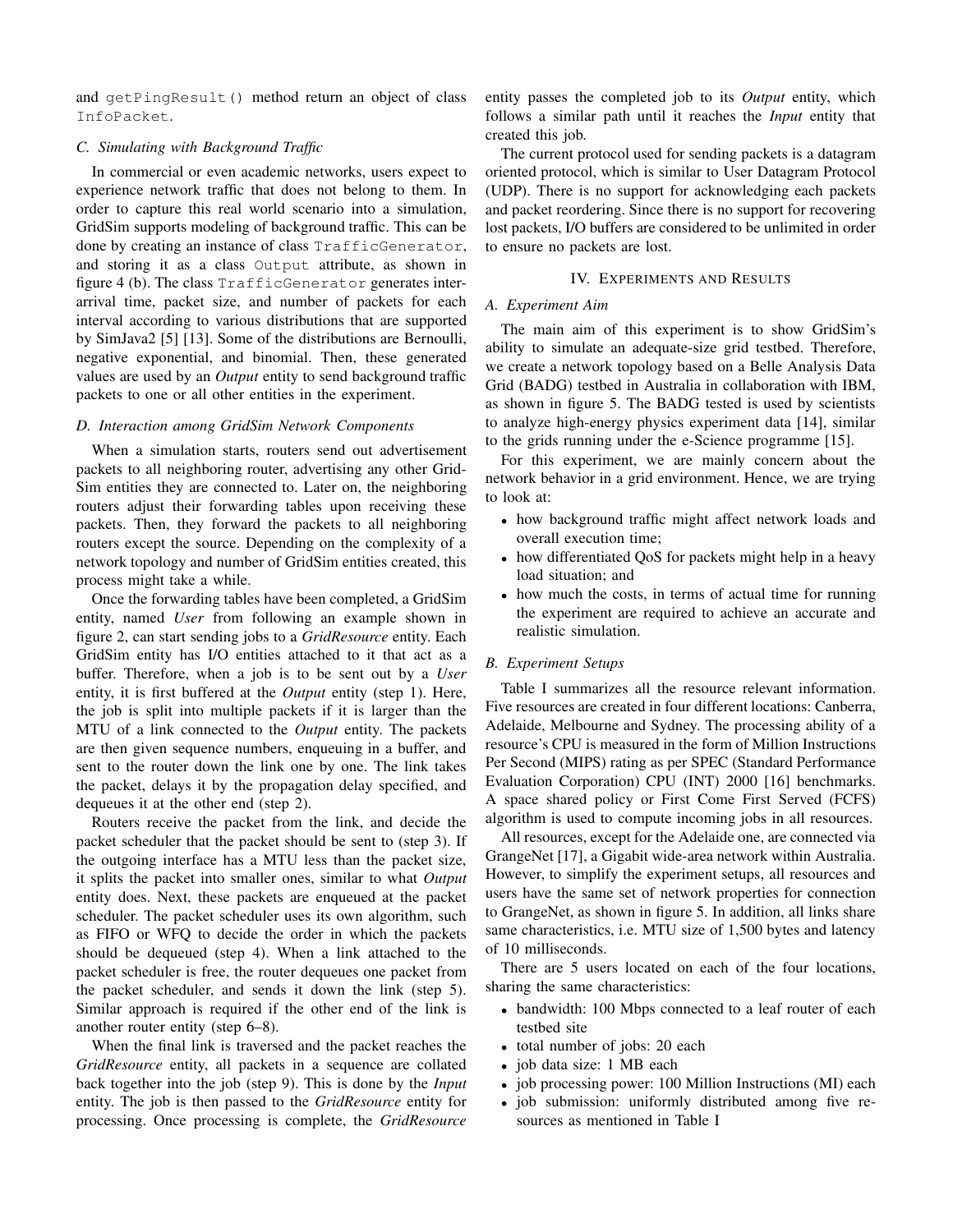and getPingResult() method return an object of class InfoPacket.

# *C. Simulating with Background Traffic*

In commercial or even academic networks, users expect to experience network traffic that does not belong to them. In order to capture this real world scenario into a simulation, GridSim supports modeling of background traffic. This can be done by creating an instance of class TrafficGenerator, and storing it as a class Output attribute, as shown in figure 4 (b). The class TrafficGenerator generates interarrival time, packet size, and number of packets for each interval according to various distributions that are supported by SimJava2 [5] [13]. Some of the distributions are Bernoulli, negative exponential, and binomial. Then, these generated values are used by an *Output* entity to send background traffic packets to one or all other entities in the experiment.

# *D. Interaction among GridSim Network Components*

When a simulation starts, routers send out advertisement packets to all neighboring router, advertising any other Grid-Sim entities they are connected to. Later on, the neighboring routers adjust their forwarding tables upon receiving these packets. Then, they forward the packets to all neighboring routers except the source. Depending on the complexity of a network topology and number of GridSim entities created, this process might take a while.

Once the forwarding tables have been completed, a GridSim entity, named *User* from following an example shown in figure 2, can start sending jobs to a *GridResource* entity. Each GridSim entity has I/O entities attached to it that act as a buffer. Therefore, when a job is to be sent out by a *User* entity, it is first buffered at the *Output* entity (step 1). Here, the job is split into multiple packets if it is larger than the MTU of a link connected to the *Output* entity. The packets are then given sequence numbers, enqueuing in a buffer, and sent to the router down the link one by one. The link takes the packet, delays it by the propagation delay specified, and dequeues it at the other end (step 2).

Routers receive the packet from the link, and decide the packet scheduler that the packet should be sent to (step 3). If the outgoing interface has a MTU less than the packet size, it splits the packet into smaller ones, similar to what *Output* entity does. Next, these packets are enqueued at the packet scheduler. The packet scheduler uses its own algorithm, such as FIFO or WFQ to decide the order in which the packets should be dequeued (step 4). When a link attached to the packet scheduler is free, the router dequeues one packet from the packet scheduler, and sends it down the link (step 5). Similar approach is required if the other end of the link is another router entity (step 6–8).

When the final link is traversed and the packet reaches the *GridResource* entity, all packets in a sequence are collated back together into the job (step 9). This is done by the *Input* entity. The job is then passed to the *GridResource* entity for processing. Once processing is complete, the *GridResource* entity passes the completed job to its *Output* entity, which follows a similar path until it reaches the *Input* entity that created this job.

The current protocol used for sending packets is a datagram oriented protocol, which is similar to User Datagram Protocol (UDP). There is no support for acknowledging each packets and packet reordering. Since there is no support for recovering lost packets, I/O buffers are considered to be unlimited in order to ensure no packets are lost.

#### IV. EXPERIMENTS AND RESULTS

# *A. Experiment Aim*

The main aim of this experiment is to show GridSim's ability to simulate an adequate-size grid testbed. Therefore, we create a network topology based on a Belle Analysis Data Grid (BADG) testbed in Australia in collaboration with IBM, as shown in figure 5. The BADG tested is used by scientists to analyze high-energy physics experiment data [14], similar to the grids running under the e-Science programme [15].

For this experiment, we are mainly concern about the network behavior in a grid environment. Hence, we are trying to look at:

- how background traffic might affect network loads and overall execution time;
- how differentiated QoS for packets might help in a heavy load situation; and
- how much the costs, in terms of actual time for running the experiment are required to achieve an accurate and realistic simulation.

#### *B. Experiment Setups*

Table I summarizes all the resource relevant information. Five resources are created in four different locations: Canberra, Adelaide, Melbourne and Sydney. The processing ability of a resource's CPU is measured in the form of Million Instructions Per Second (MIPS) rating as per SPEC (Standard Performance Evaluation Corporation) CPU (INT) 2000 [16] benchmarks. A space shared policy or First Come First Served (FCFS) algorithm is used to compute incoming jobs in all resources.

All resources, except for the Adelaide one, are connected via GrangeNet [17], a Gigabit wide-area network within Australia. However, to simplify the experiment setups, all resources and users have the same set of network properties for connection to GrangeNet, as shown in figure 5. In addition, all links share same characteristics, i.e. MTU size of 1,500 bytes and latency of 10 milliseconds.

There are 5 users located on each of the four locations, sharing the same characteristics:

- bandwidth: 100 Mbps connected to a leaf router of each testbed site
- total number of jobs: 20 each
- job data size: 1 MB each
- job processing power: 100 Million Instructions (MI) each
- job submission: uniformly distributed among five resources as mentioned in Table I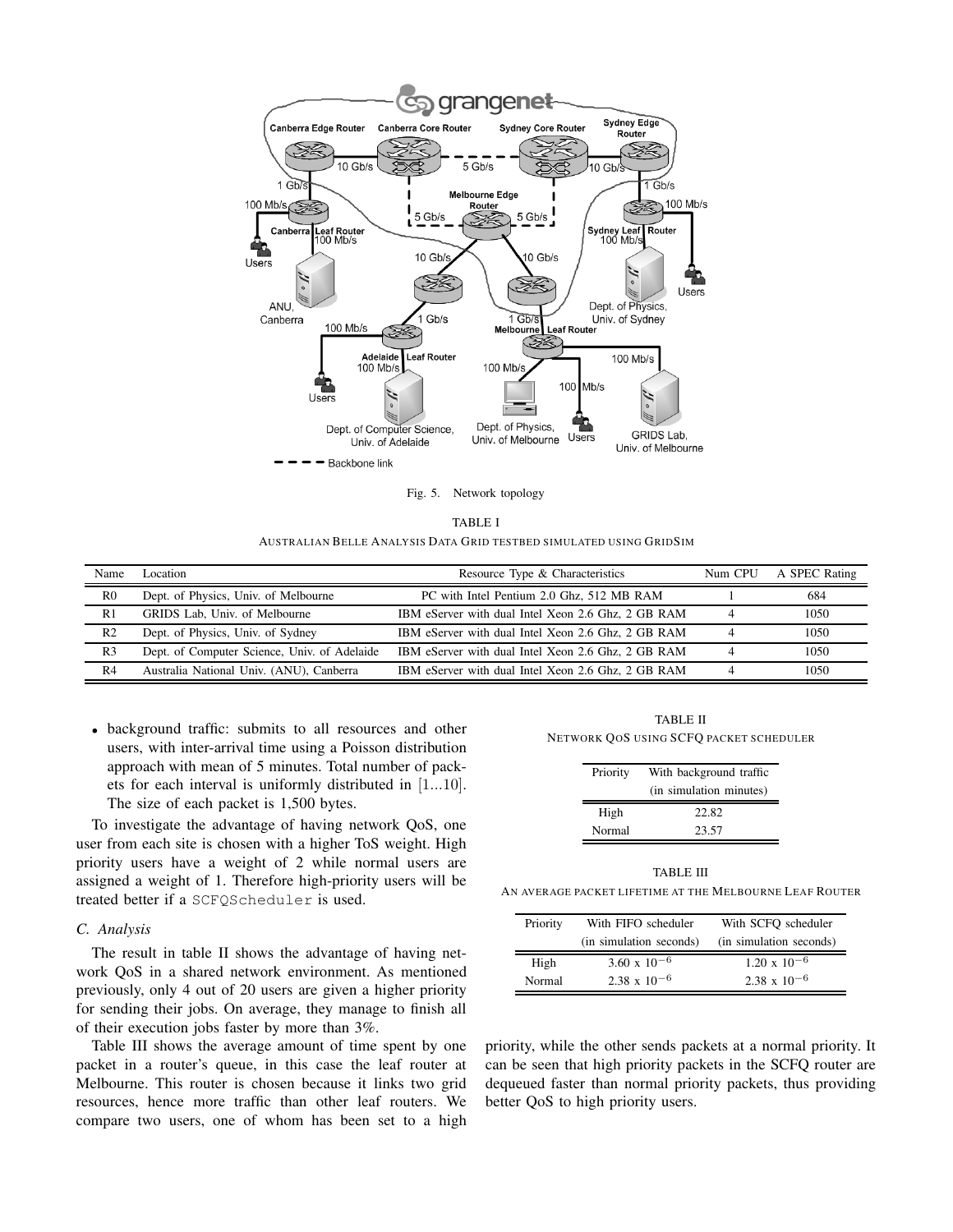

Fig. 5. Network topology

| TABLE I                                                             |  |
|---------------------------------------------------------------------|--|
| AUSTRALIAN BELLE ANALYSIS DATA GRID TESTBED SIMULATED USING GRIDSIM |  |

| Name           | Location                                     | Resource Type & Characteristics                    | Num CPU | A SPEC Rating |
|----------------|----------------------------------------------|----------------------------------------------------|---------|---------------|
| R <sub>0</sub> | Dept. of Physics, Univ. of Melbourne         | PC with Intel Pentium 2.0 Ghz, 512 MB RAM          |         | 684           |
| R1             | GRIDS Lab, Univ. of Melbourne                | IBM eServer with dual Intel Xeon 2.6 Ghz, 2 GB RAM |         | 1050          |
| R <sub>2</sub> | Dept. of Physics, Univ. of Sydney            | IBM eServer with dual Intel Xeon 2.6 Ghz, 2 GB RAM |         | 1050          |
| R <sub>3</sub> | Dept. of Computer Science, Univ. of Adelaide | IBM eServer with dual Intel Xeon 2.6 Ghz, 2 GB RAM |         | 1050          |
| R4             | Australia National Univ. (ANU), Canberra     | IBM eServer with dual Intel Xeon 2.6 Ghz, 2 GB RAM |         | 1050          |

• background traffic: submits to all resources and other users, with inter-arrival time using a Poisson distribution approach with mean of 5 minutes. Total number of packets for each interval is uniformly distributed in [1...10]. The size of each packet is 1,500 bytes.

To investigate the advantage of having network QoS, one user from each site is chosen with a higher ToS weight. High priority users have a weight of 2 while normal users are assigned a weight of 1. Therefore high-priority users will be treated better if a SCFQScheduler is used.

# *C. Analysis*

The result in table II shows the advantage of having network QoS in a shared network environment. As mentioned previously, only 4 out of 20 users are given a higher priority for sending their jobs. On average, they manage to finish all of their execution jobs faster by more than 3%.

Table III shows the average amount of time spent by one packet in a router's queue, in this case the leaf router at Melbourne. This router is chosen because it links two grid resources, hence more traffic than other leaf routers. We compare two users, one of whom has been set to a high

TABLE II NETWORK QOS USING SCFQ PACKET SCHEDULER

| Priority | With background traffic<br>(in simulation minutes) |  |
|----------|----------------------------------------------------|--|
| High     | 22.82                                              |  |
| Normal   | 23.57                                              |  |

TABLE III AN AVERAGE PACKET LIFETIME AT THE MELBOURNE LEAF ROUTER

| Priority | With FIFO scheduler     | With SCFO scheduler     |
|----------|-------------------------|-------------------------|
|          | (in simulation seconds) | (in simulation seconds) |
| High     | $3.60 \times 10^{-6}$   | $1.20 \times 10^{-6}$   |
| Normal   | $2.38 \times 10^{-6}$   | $2.38 \times 10^{-6}$   |

priority, while the other sends packets at a normal priority. It can be seen that high priority packets in the SCFQ router are dequeued faster than normal priority packets, thus providing better QoS to high priority users.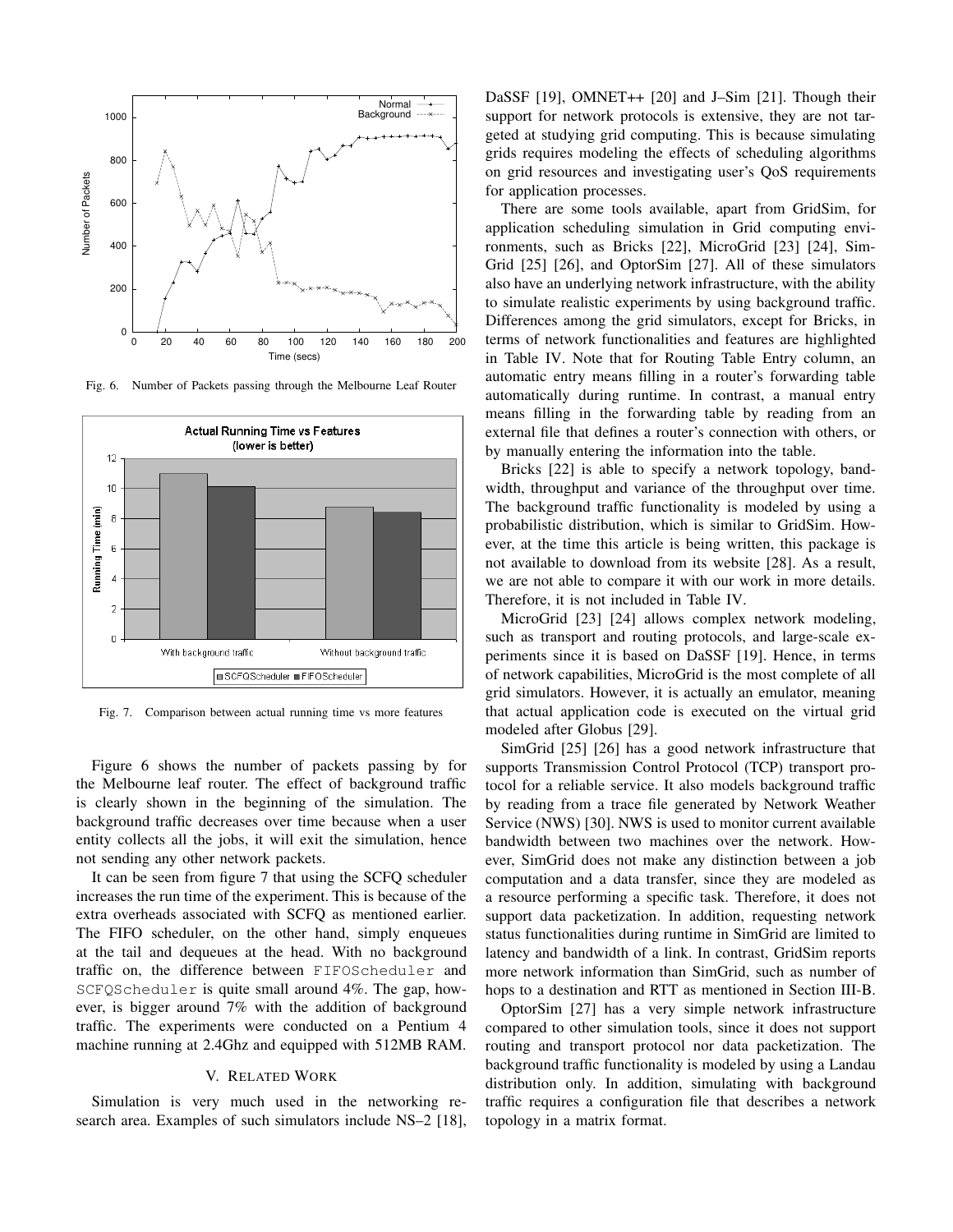

Fig. 6. Number of Packets passing through the Melbourne Leaf Router



Fig. 7. Comparison between actual running time vs more features

Figure 6 shows the number of packets passing by for the Melbourne leaf router. The effect of background traffic is clearly shown in the beginning of the simulation. The background traffic decreases over time because when a user entity collects all the jobs, it will exit the simulation, hence not sending any other network packets.

It can be seen from figure 7 that using the SCFQ scheduler increases the run time of the experiment. This is because of the extra overheads associated with SCFQ as mentioned earlier. The FIFO scheduler, on the other hand, simply enqueues at the tail and dequeues at the head. With no background traffic on, the difference between FIFOScheduler and SCFQScheduler is quite small around 4%. The gap, however, is bigger around 7% with the addition of background traffic. The experiments were conducted on a Pentium 4 machine running at 2.4Ghz and equipped with 512MB RAM.

#### V. RELATED WORK

Simulation is very much used in the networking research area. Examples of such simulators include NS–2 [18], DaSSF [19], OMNET++ [20] and J–Sim [21]. Though their support for network protocols is extensive, they are not targeted at studying grid computing. This is because simulating grids requires modeling the effects of scheduling algorithms on grid resources and investigating user's QoS requirements for application processes.

There are some tools available, apart from GridSim, for application scheduling simulation in Grid computing environments, such as Bricks [22], MicroGrid [23] [24], Sim-Grid [25] [26], and OptorSim [27]. All of these simulators also have an underlying network infrastructure, with the ability to simulate realistic experiments by using background traffic. Differences among the grid simulators, except for Bricks, in terms of network functionalities and features are highlighted in Table IV. Note that for Routing Table Entry column, an automatic entry means filling in a router's forwarding table automatically during runtime. In contrast, a manual entry means filling in the forwarding table by reading from an external file that defines a router's connection with others, or by manually entering the information into the table.

Bricks [22] is able to specify a network topology, bandwidth, throughput and variance of the throughput over time. The background traffic functionality is modeled by using a probabilistic distribution, which is similar to GridSim. However, at the time this article is being written, this package is not available to download from its website [28]. As a result, we are not able to compare it with our work in more details. Therefore, it is not included in Table IV.

MicroGrid [23] [24] allows complex network modeling, such as transport and routing protocols, and large-scale experiments since it is based on DaSSF [19]. Hence, in terms of network capabilities, MicroGrid is the most complete of all grid simulators. However, it is actually an emulator, meaning that actual application code is executed on the virtual grid modeled after Globus [29].

SimGrid [25] [26] has a good network infrastructure that supports Transmission Control Protocol (TCP) transport protocol for a reliable service. It also models background traffic by reading from a trace file generated by Network Weather Service (NWS) [30]. NWS is used to monitor current available bandwidth between two machines over the network. However, SimGrid does not make any distinction between a job computation and a data transfer, since they are modeled as a resource performing a specific task. Therefore, it does not support data packetization. In addition, requesting network status functionalities during runtime in SimGrid are limited to latency and bandwidth of a link. In contrast, GridSim reports more network information than SimGrid, such as number of hops to a destination and RTT as mentioned in Section III-B.

OptorSim [27] has a very simple network infrastructure compared to other simulation tools, since it does not support routing and transport protocol nor data packetization. The background traffic functionality is modeled by using a Landau distribution only. In addition, simulating with background traffic requires a configuration file that describes a network topology in a matrix format.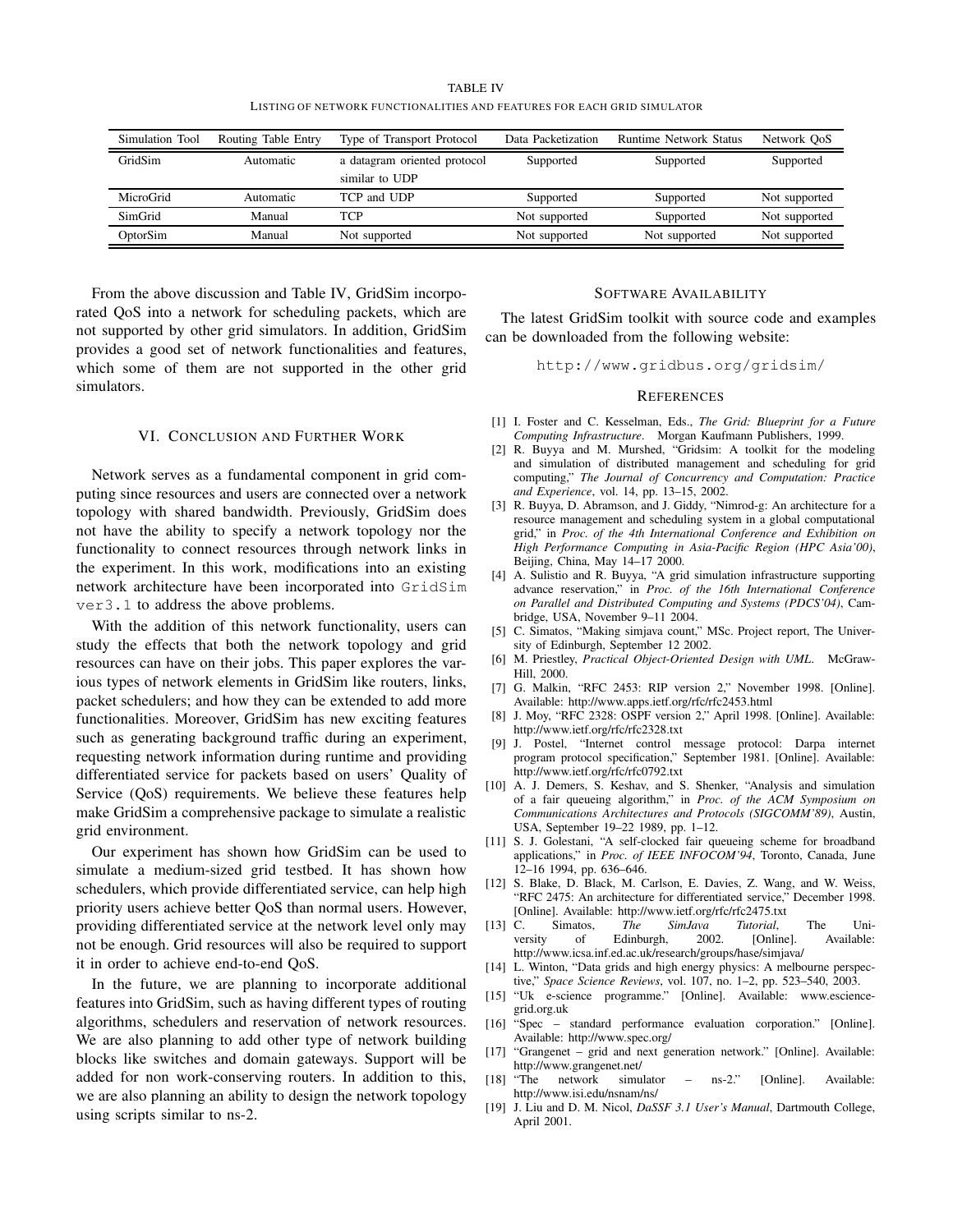TABLE IV LISTING OF NETWORK FUNCTIONALITIES AND FEATURES FOR EACH GRID SIMULATOR

| Simulation Tool | Routing Table Entry | Type of Transport Protocol   | Data Packetization | <b>Runtime Network Status</b> | Network OoS   |
|-----------------|---------------------|------------------------------|--------------------|-------------------------------|---------------|
| GridSim         | Automatic           | a datagram oriented protocol | Supported          | Supported                     | Supported     |
|                 |                     | similar to UDP               |                    |                               |               |
| MicroGrid       | Automatic           | TCP and UDP                  | Supported          | Supported                     | Not supported |
| SimGrid         | Manual              | TCP                          | Not supported      | Supported                     | Not supported |
| OptorSim        | Manual              | Not supported                | Not supported      | Not supported                 | Not supported |

From the above discussion and Table IV, GridSim incorporated QoS into a network for scheduling packets, which are not supported by other grid simulators. In addition, GridSim provides a good set of network functionalities and features, which some of them are not supported in the other grid simulators.

## VI. CONCLUSION AND FURTHER WORK

Network serves as a fundamental component in grid computing since resources and users are connected over a network topology with shared bandwidth. Previously, GridSim does not have the ability to specify a network topology nor the functionality to connect resources through network links in the experiment. In this work, modifications into an existing network architecture have been incorporated into GridSim ver3.1 to address the above problems.

With the addition of this network functionality, users can study the effects that both the network topology and grid resources can have on their jobs. This paper explores the various types of network elements in GridSim like routers, links, packet schedulers; and how they can be extended to add more functionalities. Moreover, GridSim has new exciting features such as generating background traffic during an experiment, requesting network information during runtime and providing differentiated service for packets based on users' Quality of Service (QoS) requirements. We believe these features help make GridSim a comprehensive package to simulate a realistic grid environment.

Our experiment has shown how GridSim can be used to simulate a medium-sized grid testbed. It has shown how schedulers, which provide differentiated service, can help high priority users achieve better QoS than normal users. However, providing differentiated service at the network level only may not be enough. Grid resources will also be required to support it in order to achieve end-to-end QoS.

In the future, we are planning to incorporate additional features into GridSim, such as having different types of routing algorithms, schedulers and reservation of network resources. We are also planning to add other type of network building blocks like switches and domain gateways. Support will be added for non work-conserving routers. In addition to this, we are also planning an ability to design the network topology using scripts similar to ns-2.

#### SOFTWARE AVAILABILITY

The latest GridSim toolkit with source code and examples can be downloaded from the following website:

http://www.gridbus.org/gridsim/

#### **REFERENCES**

- [1] I. Foster and C. Kesselman, Eds., *The Grid: Blueprint for a Future Computing Infrastructure*. Morgan Kaufmann Publishers, 1999.
- [2] R. Buyya and M. Murshed, "Gridsim: A toolkit for the modeling and simulation of distributed management and scheduling for grid computing," *The Journal of Concurrency and Computation: Practice and Experience*, vol. 14, pp. 13–15, 2002.
- [3] R. Buyya, D. Abramson, and J. Giddy, "Nimrod-g: An architecture for a resource management and scheduling system in a global computational grid," in *Proc. of the 4th International Conference and Exhibition on High Performance Computing in Asia-Pacific Region (HPC Asia'00)*, Beijing, China, May 14–17 2000.
- [4] A. Sulistio and R. Buyya, "A grid simulation infrastructure supporting advance reservation," in *Proc. of the 16th International Conference on Parallel and Distributed Computing and Systems (PDCS'04)*, Cambridge, USA, November 9–11 2004.
- [5] C. Simatos, "Making simjava count," MSc. Project report, The University of Edinburgh, September 12 2002.
- [6] M. Priestley, *Practical Object-Oriented Design with UML*. McGraw-Hill, 2000.
- [7] G. Malkin, "RFC 2453: RIP version 2," November 1998. [Online]. Available: http://www.apps.ietf.org/rfc/rfc2453.html
- [8] J. Moy, "RFC 2328: OSPF version 2," April 1998. [Online]. Available: http://www.ietf.org/rfc/rfc2328.txt
- [9] J. Postel, "Internet control message protocol: Darpa internet program protocol specification," September 1981. [Online]. Available: http://www.ietf.org/rfc/rfc0792.txt
- [10] A. J. Demers, S. Keshav, and S. Shenker, "Analysis and simulation of a fair queueing algorithm," in *Proc. of the ACM Symposium on Communications Architectures and Protocols (SIGCOMM'89)*, Austin, USA, September 19–22 1989, pp. 1–12.
- [11] S. J. Golestani, "A self-clocked fair queueing scheme for broadband applications," in *Proc. of IEEE INFOCOM'94*, Toronto, Canada, June 12–16 1994, pp. 636–646.
- [12] S. Blake, D. Black, M. Carlson, E. Davies, Z. Wang, and W. Weiss, "RFC 2475: An architecture for differentiated service," December 1998. [Online]. Available: http://www.ietf.org/rfc/rfc2475.txt
- [13] C. Simatos, *The SimJava Tutorial*, The University of Edinburgh, 2002. [Online]. Available: http://www.icsa.inf.ed.ac.uk/research/groups/hase/simjava/
- [14] L. Winton, "Data grids and high energy physics: A melbourne perspective," *Space Science Reviews*, vol. 107, no. 1–2, pp. 523–540, 2003.
- [15] "Uk e-science programme." [Online]. Available: www.esciencegrid.org.uk
- [16] "Spec standard performance evaluation corporation." [Online]. Available: http://www.spec.org/
- [17] "Grangenet grid and next generation network." [Online]. Available: http://www.grangenet.net/<br>[18] "The network simul
- network simulator ns-2." [Online]. Available: http://www.isi.edu/nsnam/ns/
- [19] J. Liu and D. M. Nicol, *DaSSF 3.1 User's Manual*, Dartmouth College, April 2001.